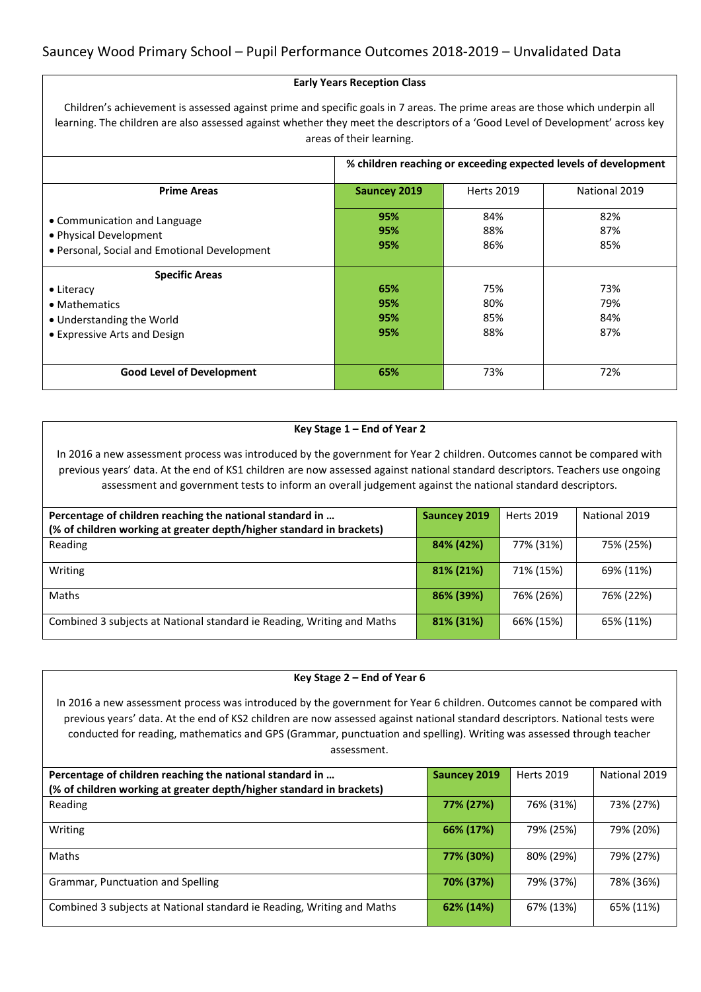### **Early Years Reception Class**

Children's achievement is assessed against prime and specific goals in 7 areas. The prime areas are those which underpin all learning. The children are also assessed against whether they meet the descriptors of a 'Good Level of Development' across key areas of their learning.

|                                                                                                        | % children reaching or exceeding expected levels of development |                   |                   |
|--------------------------------------------------------------------------------------------------------|-----------------------------------------------------------------|-------------------|-------------------|
|                                                                                                        |                                                                 |                   |                   |
| <b>Prime Areas</b>                                                                                     | <b>Sauncey 2019</b>                                             | <b>Herts 2019</b> | National 2019     |
| • Communication and Language<br>• Physical Development<br>· Personal, Social and Emotional Development | 95%<br>95%<br>95%                                               | 84%<br>88%<br>86% | 82%<br>87%<br>85% |
| <b>Specific Areas</b>                                                                                  |                                                                 |                   |                   |
| • Literacy                                                                                             | 65%                                                             | 75%               | 73%               |
| • Mathematics                                                                                          | 95%                                                             | 80%               | 79%               |
| • Understanding the World                                                                              | 95%                                                             | 85%               | 84%               |
| • Expressive Arts and Design                                                                           | 95%                                                             | 88%               | 87%               |
|                                                                                                        |                                                                 |                   |                   |
| <b>Good Level of Development</b>                                                                       | 65%                                                             | 73%               | 72%               |

### **Key Stage 1 – End of Year 2**

In 2016 a new assessment process was introduced by the government for Year 2 children. Outcomes cannot be compared with previous years' data. At the end of KS1 children are now assessed against national standard descriptors. Teachers use ongoing assessment and government tests to inform an overall judgement against the national standard descriptors.

| Percentage of children reaching the national standard in<br>(% of children working at greater depth/higher standard in brackets) | Sauncey 2019 | <b>Herts 2019</b> | National 2019 |
|----------------------------------------------------------------------------------------------------------------------------------|--------------|-------------------|---------------|
| Reading                                                                                                                          | 84% (42%)    | 77% (31%)         | 75% (25%)     |
| Writing                                                                                                                          | 81% (21%)    | 71% (15%)         | 69% (11%)     |
| Maths                                                                                                                            | 86% (39%)    | 76% (26%)         | 76% (22%)     |
| Combined 3 subjects at National standard ie Reading, Writing and Maths                                                           | 81% (31%)    | 66% (15%)         | 65% (11%)     |

### **Key Stage 2 – End of Year 6**

In 2016 a new assessment process was introduced by the government for Year 6 children. Outcomes cannot be compared with previous years' data. At the end of KS2 children are now assessed against national standard descriptors. National tests were conducted for reading, mathematics and GPS (Grammar, punctuation and spelling). Writing was assessed through teacher assessment.

| Percentage of children reaching the national standard in               | Sauncey 2019 | <b>Herts 2019</b> | National 2019 |
|------------------------------------------------------------------------|--------------|-------------------|---------------|
| (% of children working at greater depth/higher standard in brackets)   |              |                   |               |
| Reading                                                                | 77% (27%)    | 76% (31%)         | 73% (27%)     |
| Writing                                                                | 66% (17%)    | 79% (25%)         | 79% (20%)     |
| Maths                                                                  | 77% (30%)    | 80% (29%)         | 79% (27%)     |
| Grammar, Punctuation and Spelling                                      | 70% (37%)    | 79% (37%)         | 78% (36%)     |
| Combined 3 subjects at National standard ie Reading, Writing and Maths | 62% (14%)    | 67% (13%)         | 65% (11%)     |